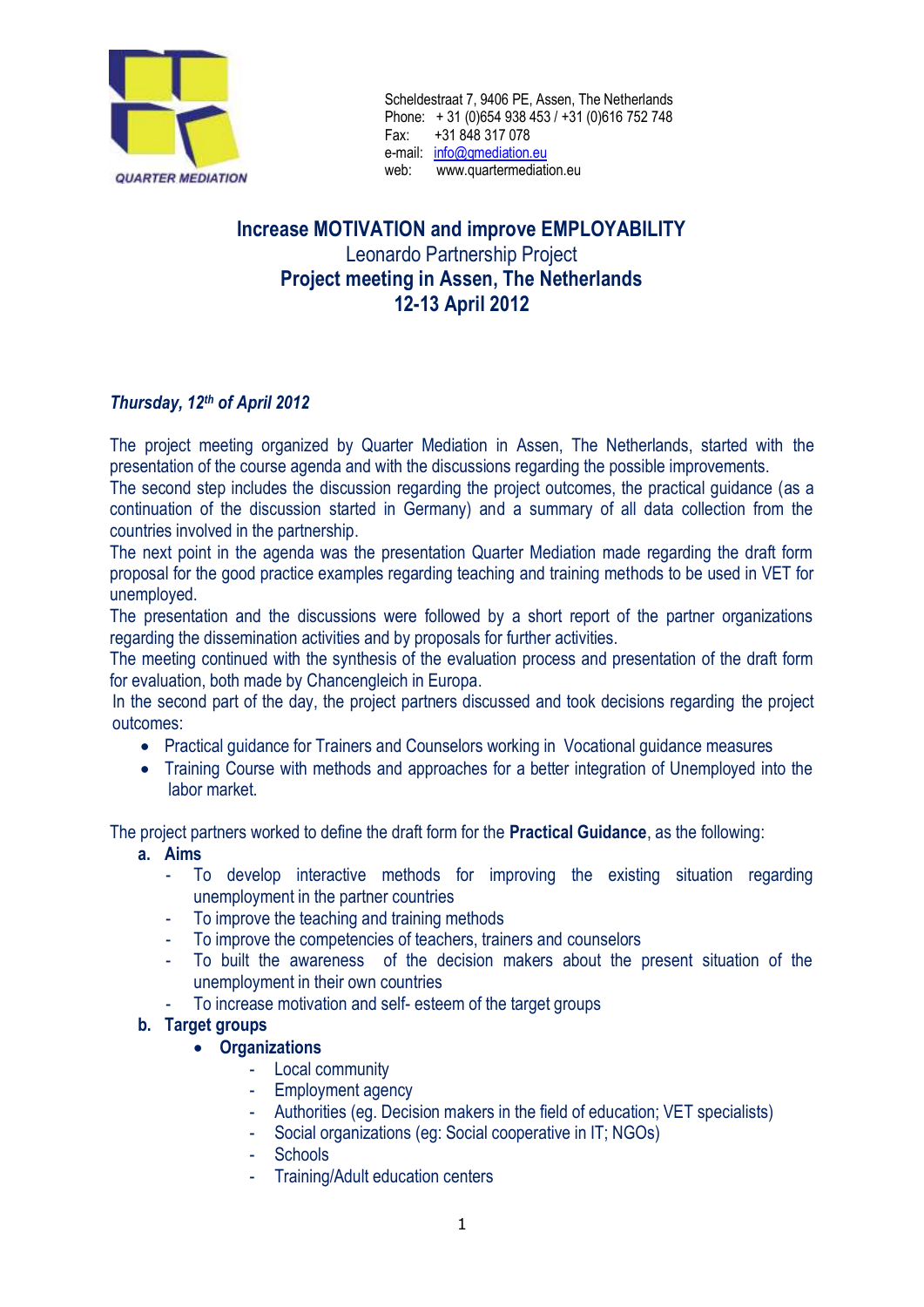

# **Increase MOTIVATION and improve EMPLOYABILITY** Leonardo Partnership Project **Project meeting in Assen, The Netherlands 12-13 April 2012**

# *Thursday, 12th of April 2012*

The project meeting organized by Quarter Mediation in Assen, The Netherlands, started with the presentation of the course agenda and with the discussions regarding the possible improvements.

The second step includes the discussion regarding the project outcomes, the practical guidance (as a continuation of the discussion started in Germany) and a summary of all data collection from the countries involved in the partnership.

The next point in the agenda was the presentation Quarter Mediation made regarding the draft form proposal for the good practice examples regarding teaching and training methods to be used in VET for unemployed.

The presentation and the discussions were followed by a short report of the partner organizations regarding the dissemination activities and by proposals for further activities.

The meeting continued with the synthesis of the evaluation process and presentation of the draft form for evaluation, both made by Chancengleich in Europa.

In the second part of the day, the project partners discussed and took decisions regarding the project outcomes:

- Practical guidance for Trainers and Counselors working in Vocational guidance measures
- Training Course with methods and approaches for a better integration of Unemployed into the labor market.

The project partners worked to define the draft form for the **Practical Guidance**, as the following:

- **a. Aims**
	- To develop interactive methods for improving the existing situation regarding unemployment in the partner countries
	- To improve the teaching and training methods
	- To improve the competencies of teachers, trainers and counselors
	- To built the awareness of the decision makers about the present situation of the unemployment in their own countries
	- To increase motivation and self- esteem of the target groups
- **b. Target groups**
	- **Organizations**
		- Local community
		- Employment agency
		- Authorities (eg. Decision makers in the field of education; VET specialists)
		- Social organizations (eg: Social cooperative in IT; NGOs)
		- **Schools**
		- Training/Adult education centers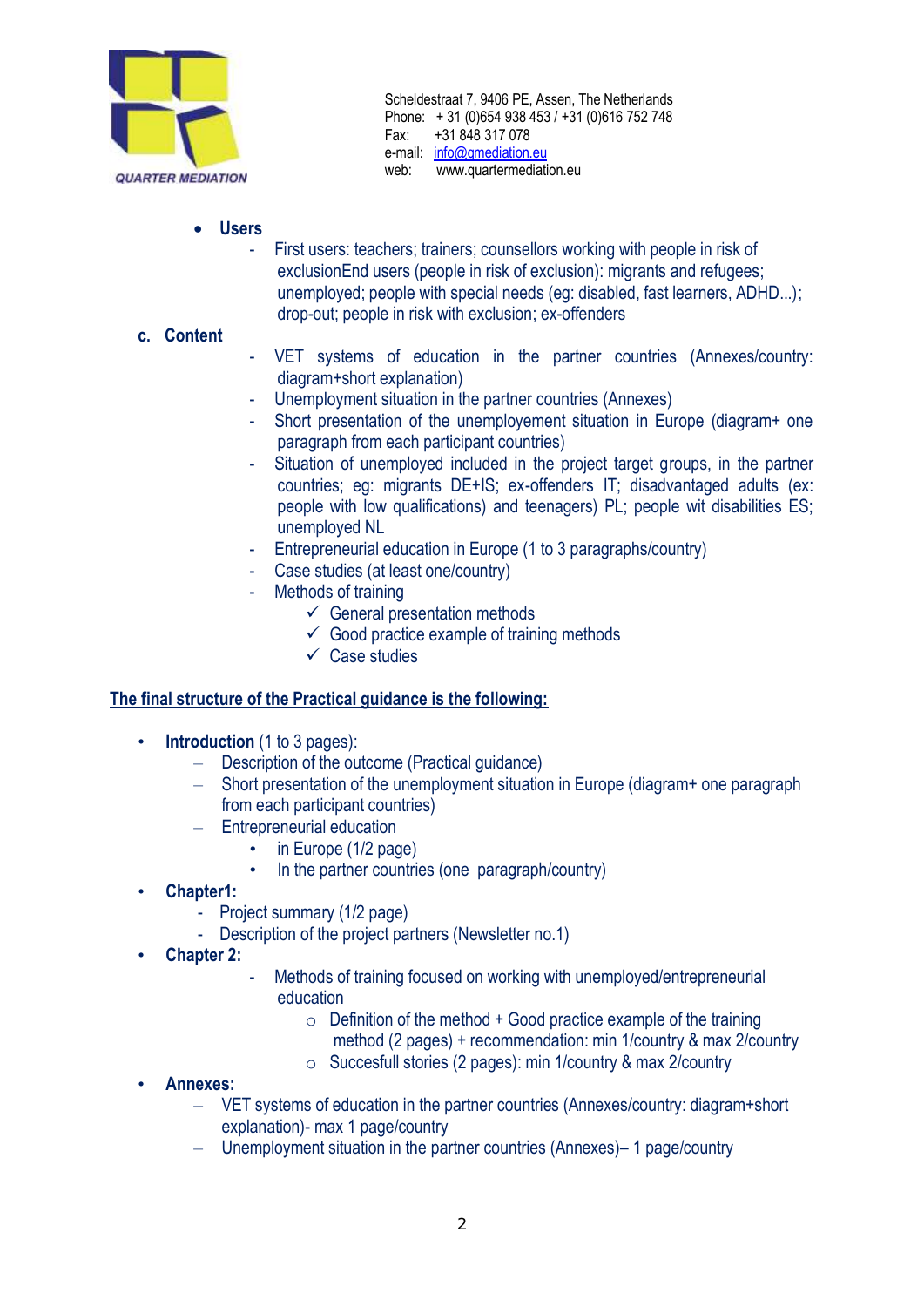

- **Users**
	- First users: teachers; trainers; counsellors working with people in risk of exclusionEnd users (people in risk of exclusion): migrants and refugees; unemployed; people with special needs (eg: disabled, fast learners, ADHD...); drop-out; people in risk with exclusion; ex-offenders

### **c. Content**

- VET systems of education in the partner countries (Annexes/country: diagram+short explanation)
- Unemployment situation in the partner countries (Annexes)
- Short presentation of the unemployement situation in Europe (diagram+ one paragraph from each participant countries)
- Situation of unemployed included in the project target groups, in the partner countries; eg: migrants DE+IS; ex-offenders IT; disadvantaged adults (ex: people with low qualifications) and teenagers) PL; people wit disabilities ES; unemployed NL
- Entrepreneurial education in Europe (1 to 3 paragraphs/country)
- Case studies (at least one/country)
- Methods of training
	- $\checkmark$  General presentation methods
	- $\checkmark$  Good practice example of training methods
	- $\checkmark$  Case studies

#### **The final structure of the Practical guidance is the following:**

- **Introduction** (1 to 3 pages):
	- Description of the outcome (Practical guidance)
	- Short presentation of the unemployment situation in Europe (diagram+ one paragraph from each participant countries)
	- Entrepreneurial education
		- in Europe (1/2 page)
		- In the partner countries (one paragraph/country)
- **Chapter1:** 
	- Project summary (1/2 page)
	- Description of the project partners (Newsletter no.1)
- **Chapter 2:**
- Methods of training focused on working with unemployed/entrepreneurial education
	- $\circ$  Definition of the method + Good practice example of the training method (2 pages) + recommendation: min 1/country & max 2/country
	- o Succesfull stories (2 pages): min 1/country & max 2/country
- **Annexes:**
	- VET systems of education in the partner countries (Annexes/country: diagram+short explanation)- max 1 page/country
	- Unemployment situation in the partner countries (Annexes)– 1 page/country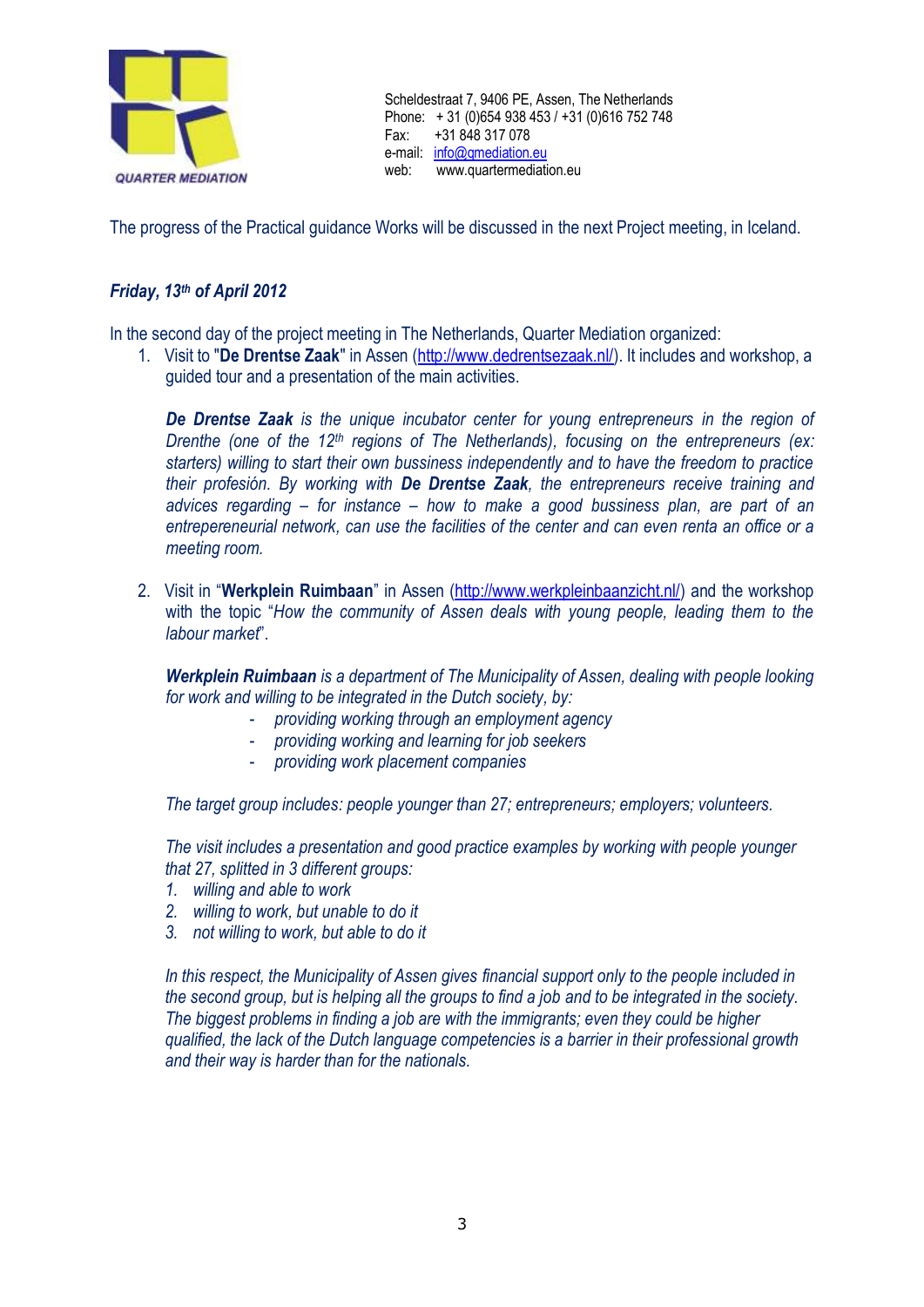

The progress of the Practical guidance Works will be discussed in the next Project meeting, in Iceland.

## *Friday, 13th of April 2012*

In the second day of the project meeting in The Netherlands, Quarter Mediation organized:

1. Visit to "**De Drentse Zaak**" in Assen [\(http://www.dedrentsezaak.nl/\)](http://www.dedrentsezaak.nl/). It includes and workshop, a guided tour and a presentation of the main activities.

*De Drentse Zaak is the unique incubator center for young entrepreneurs in the region of Drenthe (one of the 12th regions of The Netherlands), focusing on the entrepreneurs (ex: starters) willing to start their own bussiness independently and to have the freedom to practice their profesión. By working with De Drentse Zaak, the entrepreneurs receive training and advices regarding – for instance – how to make a good bussiness plan, are part of an entrepereneurial network, can use the facilities of the center and can even renta an office or a meeting room.*

2. Visit in "**Werkplein Ruimbaan**" in Assen [\(http://www.werkpleinbaanzicht.nl/\)](http://www.werkpleinbaanzicht.nl/) and the workshop with the topic "*How the community of Assen deals with young people, leading them to the labour market*".

*Werkplein Ruimbaan is a department of The Municipality of Assen, dealing with people looking for work and willing to be integrated in the Dutch society, by:*

- *providing working through an employment agency*
- *providing working and learning for job seekers*
- *providing work placement companies*

*The target group includes: people younger than 27; entrepreneurs; employers; volunteers.*

*The visit includes a presentation and good practice examples by working with people younger that 27, splitted in 3 different groups:*

- *1. willing and able to work*
- *2. willing to work, but unable to do it*
- *3. not willing to work, but able to do it*

*In this respect, the Municipality of Assen gives financial support only to the people included in the second group, but is helping all the groups to find a job and to be integrated in the society. The biggest problems in finding a job are with the immigrants; even they could be higher qualified, the lack of the Dutch language competencies is a barrier in their professional growth and their way is harder than for the nationals.*